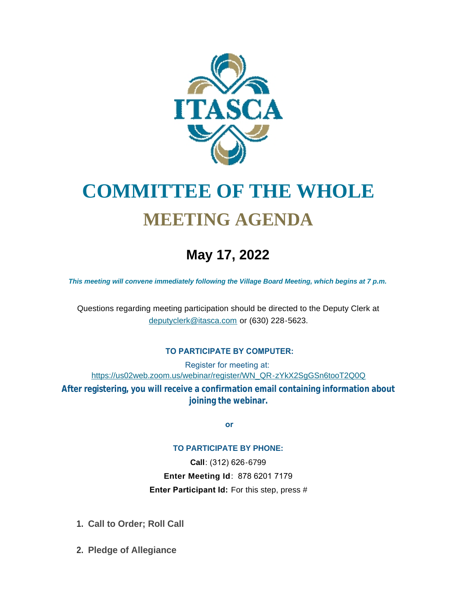

# **COMMITTEE OF THE WHOLE MEETING AGENDA**

# **May 17, 2022**

*This meeting will convene immediately following the Village Board Meeting, which begins at 7 p.m.*

[Questions regarding meeting participation sh](mailto:deputyclerk@itasca.com)ould be directed to the Deputy Clerk at deputyclerk@itasca.com or (630) 228-5623.

## **TO PARTICIPATE BY COMPUTER:**

Register for meeting at: [https://us02web.zoom.us/webinar/register/WN\\_QR-zYkX2SgGSn6tooT2Q0Q](https://us02web.zoom.us/webinar/register/WN_QR-zYkX2SgGSn6tooT2Q0Q)

**After registering, you will receive a confirmation email containing information about joining the webinar.**

 **or**

#### **TO PARTICIPATE BY PHONE:**

**Call**: (312) 626-6799 **Enter Meeting Id**: 878 6201 7179 **Enter Participant Id:** For this step, press #

- **Call to Order; Roll Call 1.**
- **Pledge of Allegiance 2.**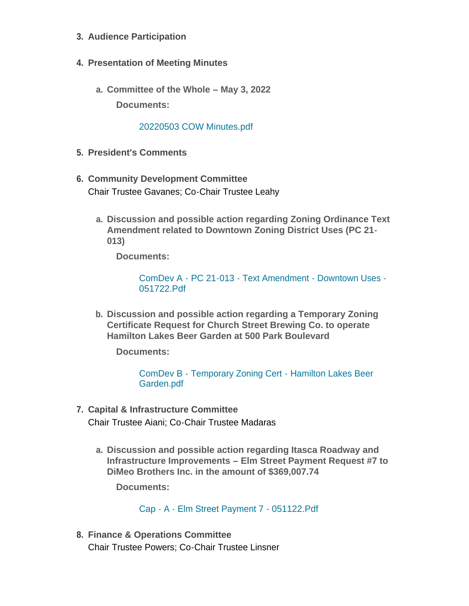- **Audience Participation 3.**
- **Presentation of Meeting Minutes 4.**
	- **Committee of the Whole – May 3, 2022 a. Documents:**

#### [20220503 COW Minutes.pdf](http://www.itasca.com/AgendaCenter/ViewFile/Item/7695?fileID=9495)

- **President's Comments 5.**
- **Community Development Committee 6.** Chair Trustee Gavanes; Co-Chair Trustee Leahy
	- **Discussion and possible action regarding Zoning Ordinance Text a. Amendment related to Downtown Zoning District Uses (PC 21- 013)**

**Documents:**

[ComDev A - PC 21-013 - Text Amendment - Downtown Uses -](http://www.itasca.com/AgendaCenter/ViewFile/Item/7696?fileID=9496) 051722.Pdf

**Discussion and possible action regarding a Temporary Zoning b. Certificate Request for Church Street Brewing Co. to operate Hamilton Lakes Beer Garden at 500 Park Boulevard** 

**Documents:**

[ComDev B - Temporary Zoning Cert - Hamilton Lakes Beer](http://www.itasca.com/AgendaCenter/ViewFile/Item/7697?fileID=9497)  Garden.pdf

- **Capital & Infrastructure Committee 7.** Chair Trustee Aiani; Co-Chair Trustee Madaras
	- **Discussion and possible action regarding Itasca Roadway and a. Infrastructure Improvements – Elm Street Payment Request #7 to DiMeo Brothers Inc. in the amount of \$369,007.74**

**Documents:**

Cap - A - [Elm Street Payment 7 -](http://www.itasca.com/AgendaCenter/ViewFile/Item/7698?fileID=9499) 051122.Pdf

**Finance & Operations Committee 8.** Chair Trustee Powers; Co-Chair Trustee Linsner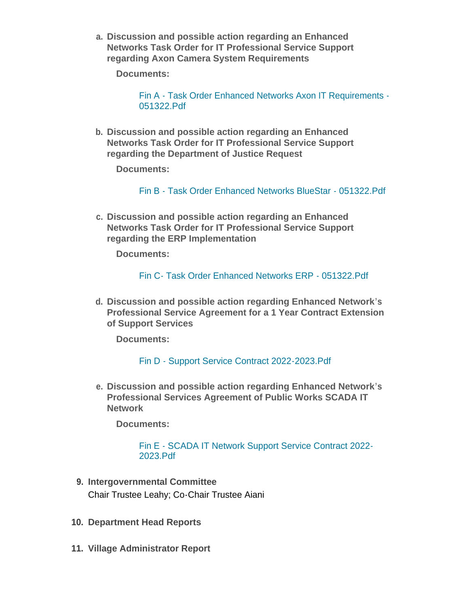**Discussion and possible action regarding an Enhanced a. Networks Task Order for IT Professional Service Support regarding Axon Camera System Requirements**

**Documents:**

Fin A - [Task Order Enhanced Networks Axon IT Requirements -](http://www.itasca.com/AgendaCenter/ViewFile/Item/7699?fileID=9500) 051322.Pdf

**Discussion and possible action regarding an Enhanced b. Networks Task Order for IT Professional Service Support regarding the Department of Justice Request**

**Documents:**

Fin B - [Task Order Enhanced Networks BlueStar -](http://www.itasca.com/AgendaCenter/ViewFile/Item/7700?fileID=9501) 051322.Pdf

**Discussion and possible action regarding an Enhanced c. Networks Task Order for IT Professional Service Support regarding the ERP Implementation**

**Documents:**

Fin C- [Task Order Enhanced Networks ERP -](http://www.itasca.com/AgendaCenter/ViewFile/Item/7701?fileID=9502) 051322.Pdf

**Discussion and possible action regarding Enhanced Network's d. Professional Service Agreement for a 1 Year Contract Extension of Support Services**

**Documents:**

## Fin D - [Support Service Contract 2022-2023.Pdf](http://www.itasca.com/AgendaCenter/ViewFile/Item/7702?fileID=9503)

**Discussion and possible action regarding Enhanced Network's e. Professional Services Agreement of Public Works SCADA IT Network**

**Documents:**

#### Fin E - [SCADA IT Network Support Service Contract 2022-](http://www.itasca.com/AgendaCenter/ViewFile/Item/7703?fileID=9504) 2023.Pdf

- **Intergovernmental Committee 9.** Chair Trustee Leahy; Co-Chair Trustee Aiani
- **10. Department Head Reports**
- **Village Administrator Report 11.**